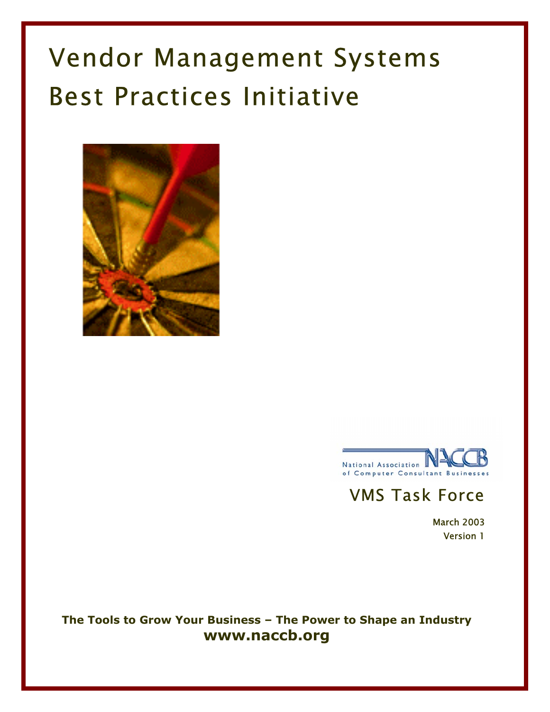# Vendor Management Systems Best Practices Initiative





## VMS Task Force

March 2003 Version 1

**The Tools to Grow Your Business – The Power to Shape an Industry www.naccb.org**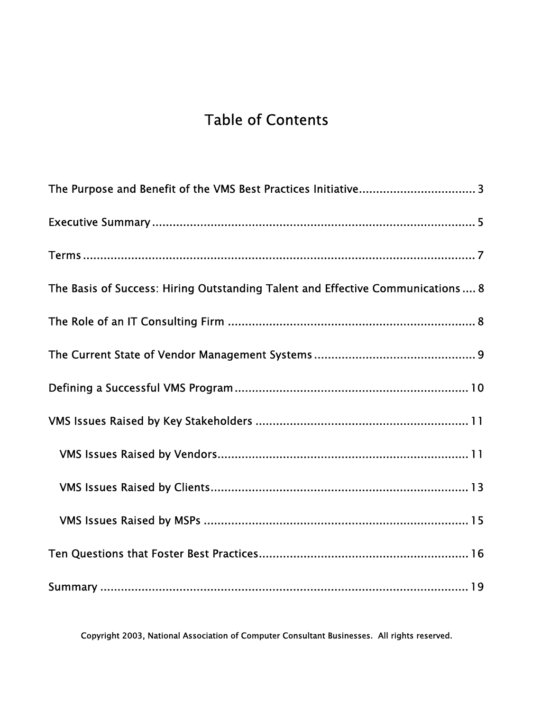# Table of Contents

| The Basis of Success: Hiring Outstanding Talent and Effective Communications  8 |
|---------------------------------------------------------------------------------|
|                                                                                 |
|                                                                                 |
|                                                                                 |
|                                                                                 |
|                                                                                 |
|                                                                                 |
|                                                                                 |
|                                                                                 |
|                                                                                 |

Copyright 2003, National Association of Computer Consultant Businesses. All rights reserved.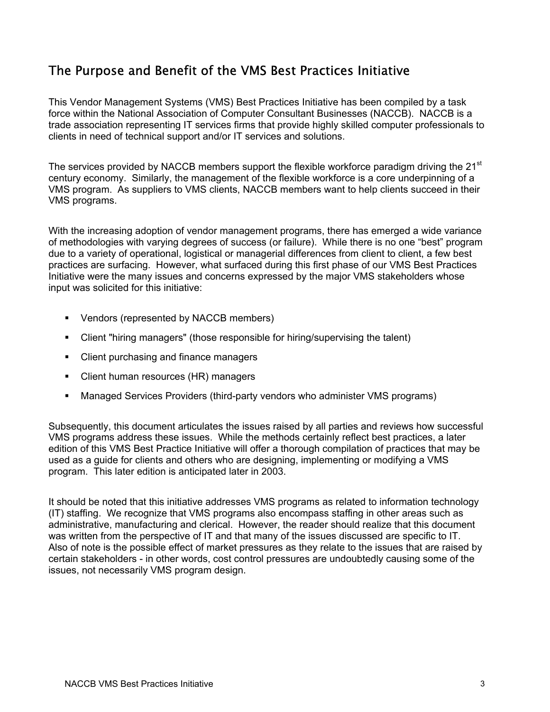## The Purpose and Benefit of the VMS Best Practices Initiative

This Vendor Management Systems (VMS) Best Practices Initiative has been compiled by a task force within the National Association of Computer Consultant Businesses (NACCB). NACCB is a trade association representing IT services firms that provide highly skilled computer professionals to clients in need of technical support and/or IT services and solutions.

The services provided by NACCB members support the flexible workforce paradigm driving the  $21<sup>st</sup>$ century economy. Similarly, the management of the flexible workforce is a core underpinning of a VMS program. As suppliers to VMS clients, NACCB members want to help clients succeed in their VMS programs.

With the increasing adoption of vendor management programs, there has emerged a wide variance of methodologies with varying degrees of success (or failure). While there is no one "best" program due to a variety of operational, logistical or managerial differences from client to client, a few best practices are surfacing. However, what surfaced during this first phase of our VMS Best Practices Initiative were the many issues and concerns expressed by the major VMS stakeholders whose input was solicited for this initiative:

- Vendors (represented by NACCB members)
- Client "hiring managers" (those responsible for hiring/supervising the talent)
- Client purchasing and finance managers
- Client human resources (HR) managers
- Managed Services Providers (third-party vendors who administer VMS programs)

Subsequently, this document articulates the issues raised by all parties and reviews how successful VMS programs address these issues. While the methods certainly reflect best practices, a later edition of this VMS Best Practice Initiative will offer a thorough compilation of practices that may be used as a guide for clients and others who are designing, implementing or modifying a VMS program. This later edition is anticipated later in 2003.

It should be noted that this initiative addresses VMS programs as related to information technology (IT) staffing. We recognize that VMS programs also encompass staffing in other areas such as administrative, manufacturing and clerical. However, the reader should realize that this document was written from the perspective of IT and that many of the issues discussed are specific to IT. Also of note is the possible effect of market pressures as they relate to the issues that are raised by certain stakeholders - in other words, cost control pressures are undoubtedly causing some of the issues, not necessarily VMS program design.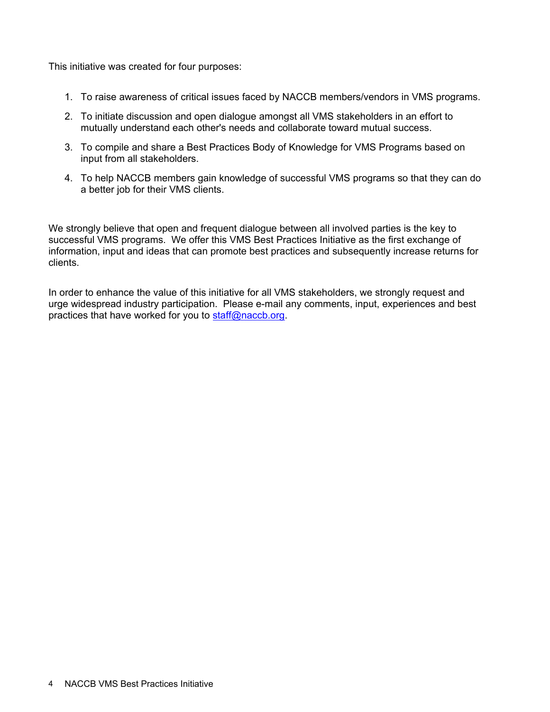This initiative was created for four purposes:

- 1. To raise awareness of critical issues faced by NACCB members/vendors in VMS programs.
- 2. To initiate discussion and open dialogue amongst all VMS stakeholders in an effort to mutually understand each other's needs and collaborate toward mutual success.
- 3. To compile and share a Best Practices Body of Knowledge for VMS Programs based on input from all stakeholders.
- 4. To help NACCB members gain knowledge of successful VMS programs so that they can do a better job for their VMS clients.

We strongly believe that open and frequent dialogue between all involved parties is the key to successful VMS programs. We offer this VMS Best Practices Initiative as the first exchange of information, input and ideas that can promote best practices and subsequently increase returns for clients.

In order to enhance the value of this initiative for all VMS stakeholders, we strongly request and urge widespread industry participation. Please e-mail any comments, input, experiences and best practices that have worked for you to staff@naccb.org.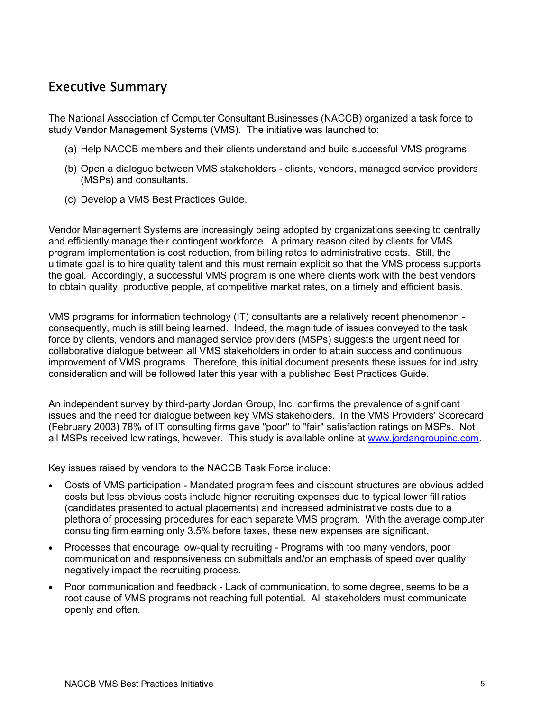## Executive Summary

The National Association of Computer Consultant Businesses (NACCB) organized a task force to study Vendor Management Systems (VMS). The initiative was launched to:

- (a) Help NACCB members and their clients understand and build successful VMS programs.
- (b) Open a dialogue between VMS stakeholders clients, vendors, managed service providers (MSPs) and consultants.
- (c) Develop a VMS Best Practices Guide.

Vendor Management Systems are increasingly being adopted by organizations seeking to centrally and efficiently manage their contingent workforce. A primary reason cited by clients for VMS program implementation is cost reduction, from billing rates to administrative costs. Still, the ultimate goal is to hire quality talent and this must remain explicit so that the VMS process supports the goal. Accordingly, a successful VMS program is one where clients work with the best vendors to obtain quality, productive people, at competitive market rates, on a timely and efficient basis.

VMS programs for information technology (IT) consultants are a relatively recent phenomenon consequently, much is still being learned. Indeed, the magnitude of issues conveyed to the task force by clients, vendors and managed service providers (MSPs) suggests the urgent need for collaborative dialogue between all VMS stakeholders in order to attain success and continuous improvement of VMS programs. Therefore, this initial document presents these issues for industry consideration and will be followed later this year with a published Best Practices Guide.

An independent survey by third-party Jordan Group, Inc. confirms the prevalence of significant issues and the need for dialogue between key VMS stakeholders. In the VMS Providers' Scorecard (February 2003) 78% of IT consulting firms gave "poor" to "fair" satisfaction ratings on MSPs. Not all MSPs received low ratings, however. This study is available online at www.jordangroupinc.com.

Key issues raised by vendors to the NACCB Task Force include:

- Costs of VMS participation Mandated program fees and discount structures are obvious added costs but less obvious costs include higher recruiting expenses due to typical lower fill ratios (candidates presented to actual placements) and increased administrative costs due to a plethora of processing procedures for each separate VMS program. With the average computer consulting firm earning only 3.5% before taxes, these new expenses are significant.
- Processes that encourage low-quality recruiting Programs with too many vendors, poor communication and responsiveness on submittals and/or an emphasis of speed over quality negatively impact the recruiting process.
- Poor communication and feedback Lack of communication, to some degree, seems to be a root cause of VMS programs not reaching full potential. All stakeholders must communicate openly and often.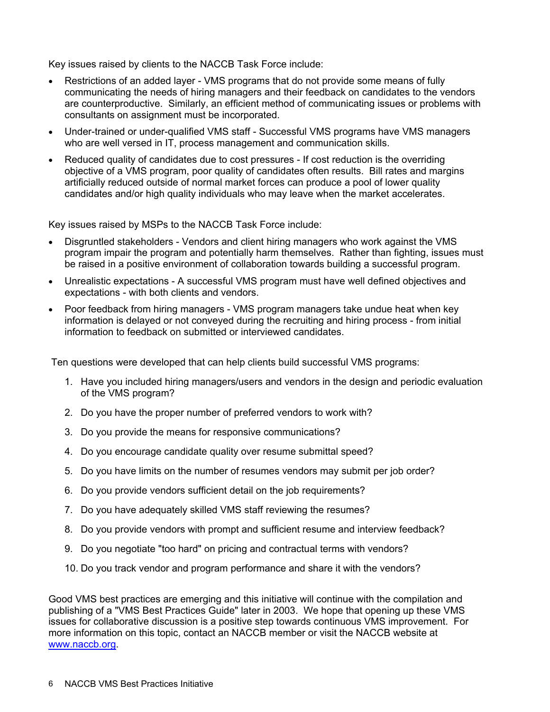Key issues raised by clients to the NACCB Task Force include:

- Restrictions of an added layer VMS programs that do not provide some means of fully communicating the needs of hiring managers and their feedback on candidates to the vendors are counterproductive. Similarly, an efficient method of communicating issues or problems with consultants on assignment must be incorporated.
- Under-trained or under-qualified VMS staff Successful VMS programs have VMS managers who are well versed in IT, process management and communication skills.
- Reduced quality of candidates due to cost pressures If cost reduction is the overriding objective of a VMS program, poor quality of candidates often results. Bill rates and margins artificially reduced outside of normal market forces can produce a pool of lower quality candidates and/or high quality individuals who may leave when the market accelerates.

Key issues raised by MSPs to the NACCB Task Force include:

- Disgruntled stakeholders Vendors and client hiring managers who work against the VMS program impair the program and potentially harm themselves. Rather than fighting, issues must be raised in a positive environment of collaboration towards building a successful program.
- Unrealistic expectations A successful VMS program must have well defined objectives and expectations - with both clients and vendors.
- Poor feedback from hiring managers VMS program managers take undue heat when key information is delayed or not conveyed during the recruiting and hiring process - from initial information to feedback on submitted or interviewed candidates.

Ten questions were developed that can help clients build successful VMS programs:

- 1. Have you included hiring managers/users and vendors in the design and periodic evaluation of the VMS program?
- 2. Do you have the proper number of preferred vendors to work with?
- 3. Do you provide the means for responsive communications?
- 4. Do you encourage candidate quality over resume submittal speed?
- 5. Do you have limits on the number of resumes vendors may submit per job order?
- 6. Do you provide vendors sufficient detail on the job requirements?
- 7. Do you have adequately skilled VMS staff reviewing the resumes?
- 8. Do you provide vendors with prompt and sufficient resume and interview feedback?
- 9. Do you negotiate "too hard" on pricing and contractual terms with vendors?
- 10. Do you track vendor and program performance and share it with the vendors?

Good VMS best practices are emerging and this initiative will continue with the compilation and publishing of a "VMS Best Practices Guide" later in 2003. We hope that opening up these VMS issues for collaborative discussion is a positive step towards continuous VMS improvement. For more information on this topic, contact an NACCB member or visit the NACCB website at www.naccb.org.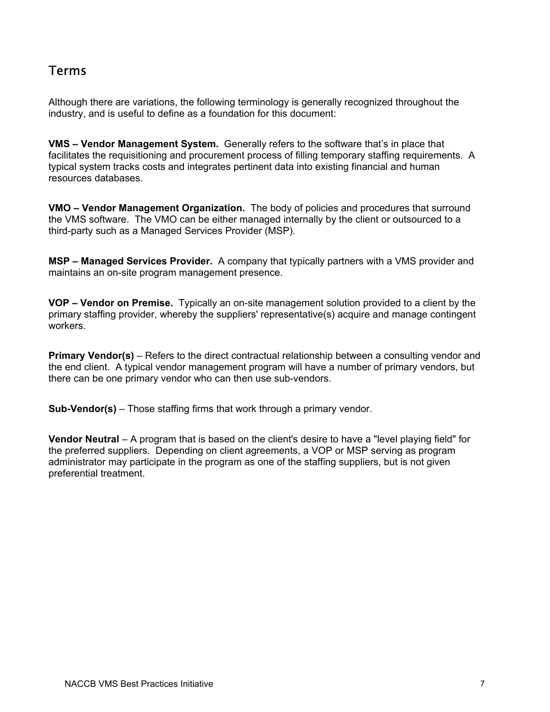## Terms

Although there are variations, the following terminology is generally recognized throughout the industry, and is useful to define as a foundation for this document:

**VMS – Vendor Management System.** Generally refers to the software that's in place that facilitates the requisitioning and procurement process of filling temporary staffing requirements. A typical system tracks costs and integrates pertinent data into existing financial and human resources databases.

**VMO – Vendor Management Organization.** The body of policies and procedures that surround the VMS software. The VMO can be either managed internally by the client or outsourced to a third-party such as a Managed Services Provider (MSP).

**MSP – Managed Services Provider.** A company that typically partners with a VMS provider and maintains an on-site program management presence.

**VOP – Vendor on Premise.** Typically an on-site management solution provided to a client by the primary staffing provider, whereby the suppliers' representative(s) acquire and manage contingent workers.

**Primary Vendor(s)** – Refers to the direct contractual relationship between a consulting vendor and the end client. A typical vendor management program will have a number of primary vendors, but there can be one primary vendor who can then use sub-vendors.

**Sub-Vendor(s)** – Those staffing firms that work through a primary vendor.

**Vendor Neutral** – A program that is based on the client's desire to have a "level playing field" for the preferred suppliers. Depending on client agreements, a VOP or MSP serving as program administrator may participate in the program as one of the staffing suppliers, but is not given preferential treatment.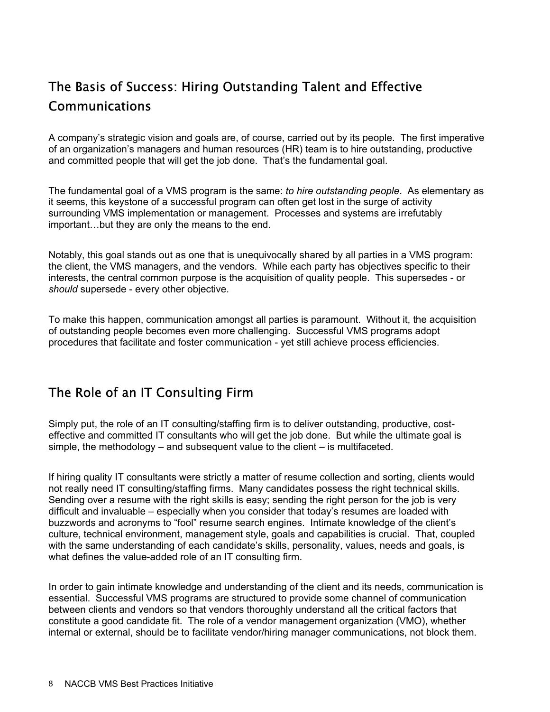## The Basis of Success: Hiring Outstanding Talent and Effective Communications

A company's strategic vision and goals are, of course, carried out by its people. The first imperative of an organization's managers and human resources (HR) team is to hire outstanding, productive and committed people that will get the job done. That's the fundamental goal.

The fundamental goal of a VMS program is the same: *to hire outstanding people*. As elementary as it seems, this keystone of a successful program can often get lost in the surge of activity surrounding VMS implementation or management. Processes and systems are irrefutably important…but they are only the means to the end.

Notably, this goal stands out as one that is unequivocally shared by all parties in a VMS program: the client, the VMS managers, and the vendors. While each party has objectives specific to their interests, the central common purpose is the acquisition of quality people. This supersedes - or *should* supersede - every other objective.

To make this happen, communication amongst all parties is paramount. Without it, the acquisition of outstanding people becomes even more challenging. Successful VMS programs adopt procedures that facilitate and foster communication - yet still achieve process efficiencies.

## The Role of an IT Consulting Firm

Simply put, the role of an IT consulting/staffing firm is to deliver outstanding, productive, costeffective and committed IT consultants who will get the job done. But while the ultimate goal is simple, the methodology  $-$  and subsequent value to the client  $-$  is multifaceted.

If hiring quality IT consultants were strictly a matter of resume collection and sorting, clients would not really need IT consulting/staffing firms. Many candidates possess the right technical skills. Sending over a resume with the right skills is easy; sending the right person for the job is very difficult and invaluable – especially when you consider that today's resumes are loaded with buzzwords and acronyms to "fool" resume search engines. Intimate knowledge of the client's culture, technical environment, management style, goals and capabilities is crucial. That, coupled with the same understanding of each candidate's skills, personality, values, needs and goals, is what defines the value-added role of an IT consulting firm.

In order to gain intimate knowledge and understanding of the client and its needs, communication is essential. Successful VMS programs are structured to provide some channel of communication between clients and vendors so that vendors thoroughly understand all the critical factors that constitute a good candidate fit. The role of a vendor management organization (VMO), whether internal or external, should be to facilitate vendor/hiring manager communications, not block them.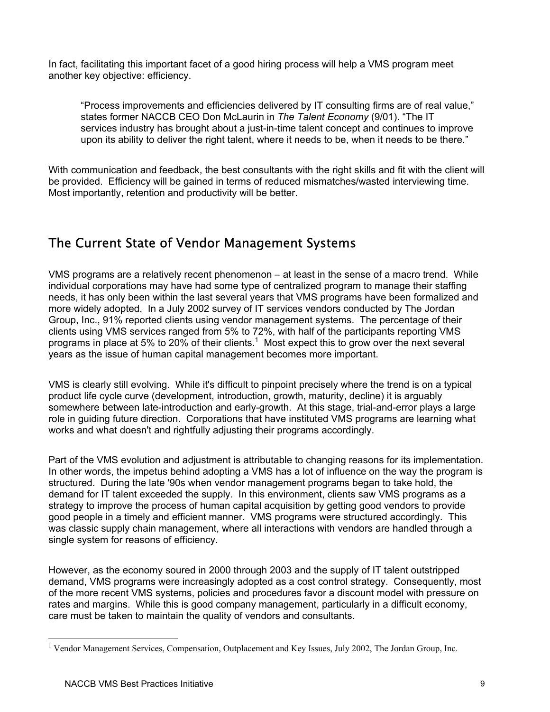In fact, facilitating this important facet of a good hiring process will help a VMS program meet another key objective: efficiency.

"Process improvements and efficiencies delivered by IT consulting firms are of real value," states former NACCB CEO Don McLaurin in *The Talent Economy* (9/01). "The IT services industry has brought about a just-in-time talent concept and continues to improve upon its ability to deliver the right talent, where it needs to be, when it needs to be there."

With communication and feedback, the best consultants with the right skills and fit with the client will be provided. Efficiency will be gained in terms of reduced mismatches/wasted interviewing time. Most importantly, retention and productivity will be better.

## The Current State of Vendor Management Systems

VMS programs are a relatively recent phenomenon – at least in the sense of a macro trend. While individual corporations may have had some type of centralized program to manage their staffing needs, it has only been within the last several years that VMS programs have been formalized and more widely adopted. In a July 2002 survey of IT services vendors conducted by The Jordan Group, Inc., 91% reported clients using vendor management systems. The percentage of their clients using VMS services ranged from 5% to 72%, with half of the participants reporting VMS programs in place at 5% to 20% of their clients.<sup>1</sup> Most expect this to grow over the next several years as the issue of human capital management becomes more important.

VMS is clearly still evolving. While it's difficult to pinpoint precisely where the trend is on a typical product life cycle curve (development, introduction, growth, maturity, decline) it is arguably somewhere between late-introduction and early-growth. At this stage, trial-and-error plays a large role in guiding future direction. Corporations that have instituted VMS programs are learning what works and what doesn't and rightfully adjusting their programs accordingly.

Part of the VMS evolution and adjustment is attributable to changing reasons for its implementation. In other words, the impetus behind adopting a VMS has a lot of influence on the way the program is structured. During the late '90s when vendor management programs began to take hold, the demand for IT talent exceeded the supply. In this environment, clients saw VMS programs as a strategy to improve the process of human capital acquisition by getting good vendors to provide good people in a timely and efficient manner. VMS programs were structured accordingly. This was classic supply chain management, where all interactions with vendors are handled through a single system for reasons of efficiency.

However, as the economy soured in 2000 through 2003 and the supply of IT talent outstripped demand, VMS programs were increasingly adopted as a cost control strategy. Consequently, most of the more recent VMS systems, policies and procedures favor a discount model with pressure on rates and margins. While this is good company management, particularly in a difficult economy, care must be taken to maintain the quality of vendors and consultants.

 $\overline{a}$ 

<sup>&</sup>lt;sup>1</sup> Vendor Management Services, Compensation, Outplacement and Key Issues, July 2002, The Jordan Group, Inc.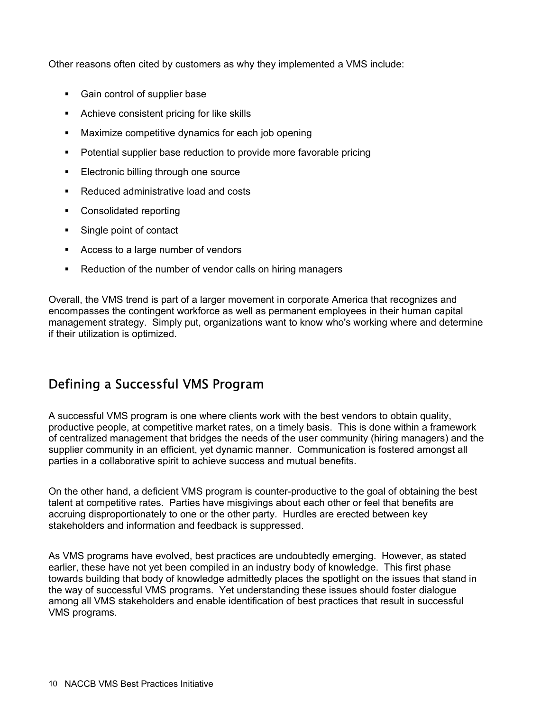Other reasons often cited by customers as why they implemented a VMS include:

- Gain control of supplier base
- Achieve consistent pricing for like skills
- **Maximize competitive dynamics for each job opening**
- Potential supplier base reduction to provide more favorable pricing
- Electronic billing through one source
- Reduced administrative load and costs
- Consolidated reporting
- Single point of contact
- Access to a large number of vendors
- Reduction of the number of vendor calls on hiring managers

Overall, the VMS trend is part of a larger movement in corporate America that recognizes and encompasses the contingent workforce as well as permanent employees in their human capital management strategy. Simply put, organizations want to know who's working where and determine if their utilization is optimized.

## Defining a Successful VMS Program

A successful VMS program is one where clients work with the best vendors to obtain quality, productive people, at competitive market rates, on a timely basis. This is done within a framework of centralized management that bridges the needs of the user community (hiring managers) and the supplier community in an efficient, yet dynamic manner. Communication is fostered amongst all parties in a collaborative spirit to achieve success and mutual benefits.

On the other hand, a deficient VMS program is counter-productive to the goal of obtaining the best talent at competitive rates. Parties have misgivings about each other or feel that benefits are accruing disproportionately to one or the other party. Hurdles are erected between key stakeholders and information and feedback is suppressed.

As VMS programs have evolved, best practices are undoubtedly emerging. However, as stated earlier, these have not yet been compiled in an industry body of knowledge. This first phase towards building that body of knowledge admittedly places the spotlight on the issues that stand in the way of successful VMS programs. Yet understanding these issues should foster dialogue among all VMS stakeholders and enable identification of best practices that result in successful VMS programs.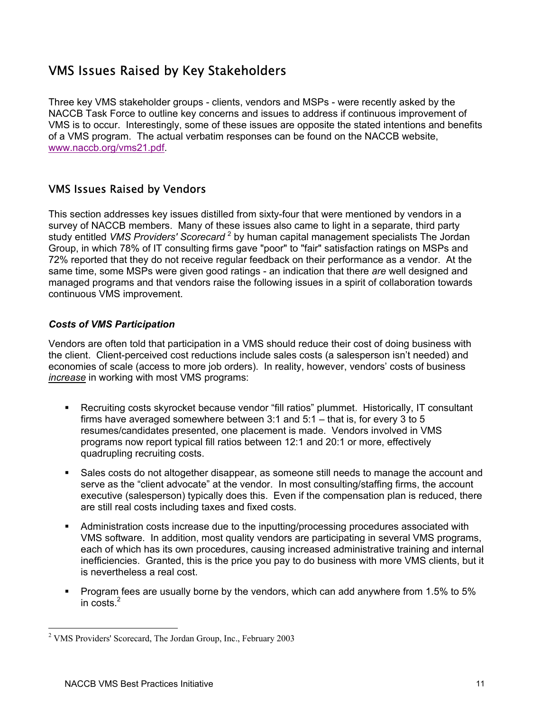## VMS Issues Raised by Key Stakeholders

Three key VMS stakeholder groups - clients, vendors and MSPs - were recently asked by the NACCB Task Force to outline key concerns and issues to address if continuous improvement of VMS is to occur. Interestingly, some of these issues are opposite the stated intentions and benefits of a VMS program. The actual verbatim responses can be found on the NACCB website, www.naccb.org/vms21.pdf.

#### VMS Issues Raised by Vendors

This section addresses key issues distilled from sixty-four that were mentioned by vendors in a survey of NACCB members. Many of these issues also came to light in a separate, third party study entitled *VMS Providers' Scorecard* <sup>2</sup> by human capital management specialists The Jordan Group, in which 78% of IT consulting firms gave "poor" to "fair" satisfaction ratings on MSPs and 72% reported that they do not receive regular feedback on their performance as a vendor. At the same time, some MSPs were given good ratings - an indication that there *are* well designed and managed programs and that vendors raise the following issues in a spirit of collaboration towards continuous VMS improvement.

#### *Costs of VMS Participation*

Vendors are often told that participation in a VMS should reduce their cost of doing business with the client. Client-perceived cost reductions include sales costs (a salesperson isn't needed) and economies of scale (access to more job orders). In reality, however, vendors' costs of business *increase* in working with most VMS programs:

- Recruiting costs skyrocket because vendor "fill ratios" plummet. Historically, IT consultant firms have averaged somewhere between 3:1 and 5:1 – that is, for every 3 to 5 resumes/candidates presented, one placement is made. Vendors involved in VMS programs now report typical fill ratios between 12:1 and 20:1 or more, effectively quadrupling recruiting costs.
- Sales costs do not altogether disappear, as someone still needs to manage the account and serve as the "client advocate" at the vendor. In most consulting/staffing firms, the account executive (salesperson) typically does this. Even if the compensation plan is reduced, there are still real costs including taxes and fixed costs.
- Administration costs increase due to the inputting/processing procedures associated with VMS software. In addition, most quality vendors are participating in several VMS programs, each of which has its own procedures, causing increased administrative training and internal inefficiencies. Granted, this is the price you pay to do business with more VMS clients, but it is nevertheless a real cost.
- Program fees are usually borne by the vendors, which can add anywhere from 1.5% to 5% in costs. $2$

 $\overline{a}$ 

<sup>&</sup>lt;sup>2</sup> VMS Providers' Scorecard, The Jordan Group, Inc., February 2003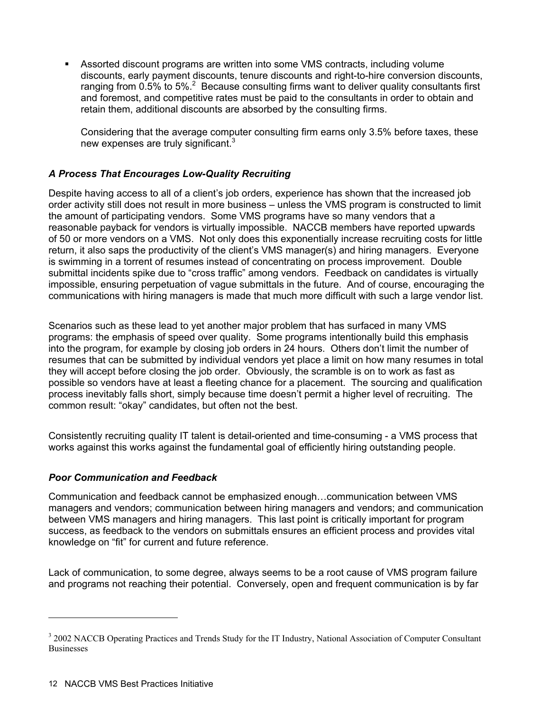Assorted discount programs are written into some VMS contracts, including volume discounts, early payment discounts, tenure discounts and right-to-hire conversion discounts, ranging from 0.5% to 5%.<sup>2</sup> Because consulting firms want to deliver quality consultants first and foremost, and competitive rates must be paid to the consultants in order to obtain and retain them, additional discounts are absorbed by the consulting firms.

Considering that the average computer consulting firm earns only 3.5% before taxes, these new expenses are truly significant.<sup>3</sup>

#### *A Process That Encourages Low-Quality Recruiting*

Despite having access to all of a client's job orders, experience has shown that the increased job order activity still does not result in more business – unless the VMS program is constructed to limit the amount of participating vendors. Some VMS programs have so many vendors that a reasonable payback for vendors is virtually impossible. NACCB members have reported upwards of 50 or more vendors on a VMS. Not only does this exponentially increase recruiting costs for little return, it also saps the productivity of the client's VMS manager(s) and hiring managers. Everyone is swimming in a torrent of resumes instead of concentrating on process improvement. Double submittal incidents spike due to "cross traffic" among vendors. Feedback on candidates is virtually impossible, ensuring perpetuation of vague submittals in the future. And of course, encouraging the communications with hiring managers is made that much more difficult with such a large vendor list.

Scenarios such as these lead to yet another major problem that has surfaced in many VMS programs: the emphasis of speed over quality. Some programs intentionally build this emphasis into the program, for example by closing job orders in 24 hours. Others don't limit the number of resumes that can be submitted by individual vendors yet place a limit on how many resumes in total they will accept before closing the job order. Obviously, the scramble is on to work as fast as possible so vendors have at least a fleeting chance for a placement. The sourcing and qualification process inevitably falls short, simply because time doesn't permit a higher level of recruiting. The common result: "okay" candidates, but often not the best.

Consistently recruiting quality IT talent is detail-oriented and time-consuming - a VMS process that works against this works against the fundamental goal of efficiently hiring outstanding people.

#### *Poor Communication and Feedback*

Communication and feedback cannot be emphasized enough…communication between VMS managers and vendors; communication between hiring managers and vendors; and communication between VMS managers and hiring managers. This last point is critically important for program success, as feedback to the vendors on submittals ensures an efficient process and provides vital knowledge on "fit" for current and future reference.

Lack of communication, to some degree, always seems to be a root cause of VMS program failure and programs not reaching their potential. Conversely, open and frequent communication is by far

 $\overline{a}$ 

<sup>&</sup>lt;sup>3</sup> 2002 NACCB Operating Practices and Trends Study for the IT Industry, National Association of Computer Consultant **Businesses**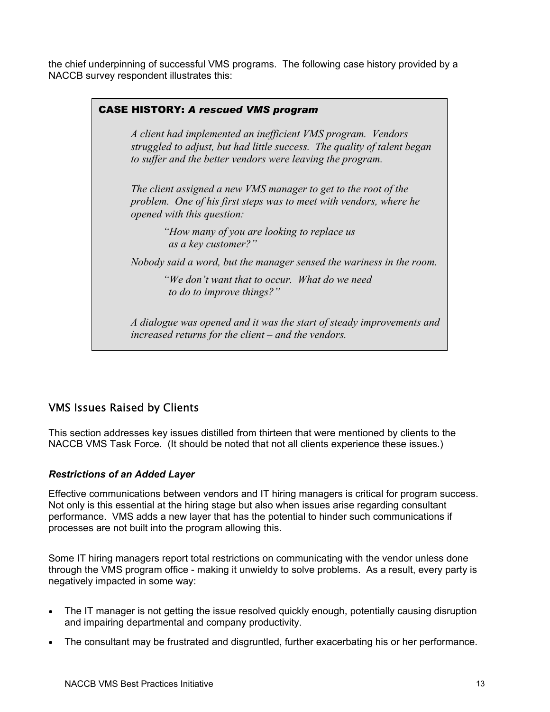the chief underpinning of successful VMS programs. The following case history provided by a NACCB survey respondent illustrates this:

| <b>CASE HISTORY: A rescued VMS program</b> |                                                                                                                                                                                                        |
|--------------------------------------------|--------------------------------------------------------------------------------------------------------------------------------------------------------------------------------------------------------|
|                                            | A client had implemented an inefficient VMS program. Vendors<br>struggled to adjust, but had little success. The quality of talent began<br>to suffer and the better vendors were leaving the program. |
|                                            | The client assigned a new VMS manager to get to the root of the<br>problem. One of his first steps was to meet with vendors, where he<br>opened with this question:                                    |
|                                            | "How many of you are looking to replace us<br>as a key customer?"                                                                                                                                      |
|                                            | Nobody said a word, but the manager sensed the wariness in the room.                                                                                                                                   |
|                                            | "We don't want that to occur. What do we need<br>to do to improve things?"                                                                                                                             |
|                                            | A dialogue was opened and it was the start of steady improvements and<br>increased returns for the client – and the vendors.                                                                           |

#### VMS Issues Raised by Clients

This section addresses key issues distilled from thirteen that were mentioned by clients to the NACCB VMS Task Force. (It should be noted that not all clients experience these issues.)

#### *Restrictions of an Added Layer*

Effective communications between vendors and IT hiring managers is critical for program success. Not only is this essential at the hiring stage but also when issues arise regarding consultant performance. VMS adds a new layer that has the potential to hinder such communications if processes are not built into the program allowing this.

Some IT hiring managers report total restrictions on communicating with the vendor unless done through the VMS program office - making it unwieldy to solve problems. As a result, every party is negatively impacted in some way:

- The IT manager is not getting the issue resolved quickly enough, potentially causing disruption and impairing departmental and company productivity.
- The consultant may be frustrated and disgruntled, further exacerbating his or her performance.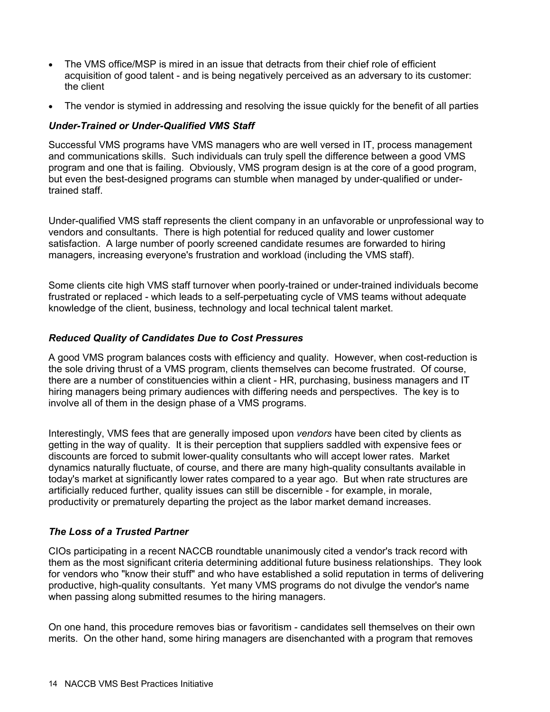- The VMS office/MSP is mired in an issue that detracts from their chief role of efficient acquisition of good talent - and is being negatively perceived as an adversary to its customer: the client
- The vendor is stymied in addressing and resolving the issue quickly for the benefit of all parties

#### *Under-Trained or Under-Qualified VMS Staff*

Successful VMS programs have VMS managers who are well versed in IT, process management and communications skills. Such individuals can truly spell the difference between a good VMS program and one that is failing. Obviously, VMS program design is at the core of a good program, but even the best-designed programs can stumble when managed by under-qualified or undertrained staff.

Under-qualified VMS staff represents the client company in an unfavorable or unprofessional way to vendors and consultants. There is high potential for reduced quality and lower customer satisfaction. A large number of poorly screened candidate resumes are forwarded to hiring managers, increasing everyone's frustration and workload (including the VMS staff).

Some clients cite high VMS staff turnover when poorly-trained or under-trained individuals become frustrated or replaced - which leads to a self-perpetuating cycle of VMS teams without adequate knowledge of the client, business, technology and local technical talent market.

#### *Reduced Quality of Candidates Due to Cost Pressures*

A good VMS program balances costs with efficiency and quality. However, when cost-reduction is the sole driving thrust of a VMS program, clients themselves can become frustrated. Of course, there are a number of constituencies within a client - HR, purchasing, business managers and IT hiring managers being primary audiences with differing needs and perspectives. The key is to involve all of them in the design phase of a VMS programs.

Interestingly, VMS fees that are generally imposed upon *vendors* have been cited by clients as getting in the way of quality. It is their perception that suppliers saddled with expensive fees or discounts are forced to submit lower-quality consultants who will accept lower rates. Market dynamics naturally fluctuate, of course, and there are many high-quality consultants available in today's market at significantly lower rates compared to a year ago. But when rate structures are artificially reduced further, quality issues can still be discernible - for example, in morale, productivity or prematurely departing the project as the labor market demand increases.

#### *The Loss of a Trusted Partner*

CIOs participating in a recent NACCB roundtable unanimously cited a vendor's track record with them as the most significant criteria determining additional future business relationships. They look for vendors who "know their stuff" and who have established a solid reputation in terms of delivering productive, high-quality consultants. Yet many VMS programs do not divulge the vendor's name when passing along submitted resumes to the hiring managers.

On one hand, this procedure removes bias or favoritism - candidates sell themselves on their own merits. On the other hand, some hiring managers are disenchanted with a program that removes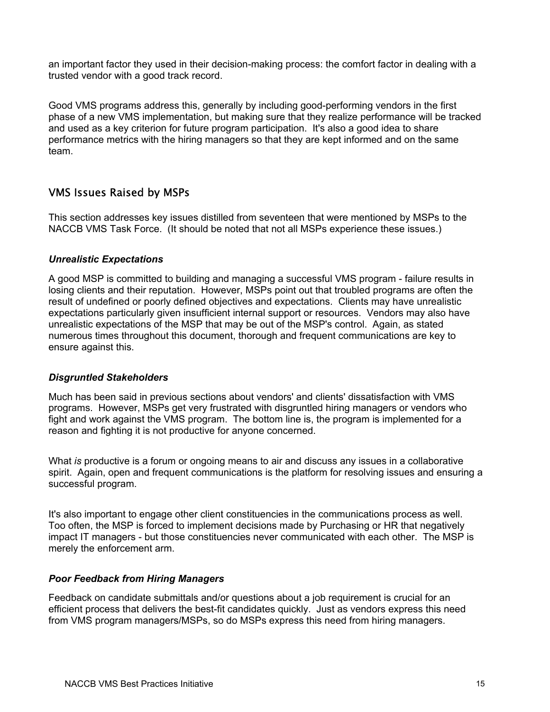an important factor they used in their decision-making process: the comfort factor in dealing with a trusted vendor with a good track record.

Good VMS programs address this, generally by including good-performing vendors in the first phase of a new VMS implementation, but making sure that they realize performance will be tracked and used as a key criterion for future program participation. It's also a good idea to share performance metrics with the hiring managers so that they are kept informed and on the same team.

#### VMS Issues Raised by MSPs

This section addresses key issues distilled from seventeen that were mentioned by MSPs to the NACCB VMS Task Force. (It should be noted that not all MSPs experience these issues.)

#### *Unrealistic Expectations*

A good MSP is committed to building and managing a successful VMS program - failure results in losing clients and their reputation. However, MSPs point out that troubled programs are often the result of undefined or poorly defined objectives and expectations. Clients may have unrealistic expectations particularly given insufficient internal support or resources. Vendors may also have unrealistic expectations of the MSP that may be out of the MSP's control. Again, as stated numerous times throughout this document, thorough and frequent communications are key to ensure against this.

#### *Disgruntled Stakeholders*

Much has been said in previous sections about vendors' and clients' dissatisfaction with VMS programs. However, MSPs get very frustrated with disgruntled hiring managers or vendors who fight and work against the VMS program. The bottom line is, the program is implemented for a reason and fighting it is not productive for anyone concerned.

What *is* productive is a forum or ongoing means to air and discuss any issues in a collaborative spirit. Again, open and frequent communications is the platform for resolving issues and ensuring a successful program.

It's also important to engage other client constituencies in the communications process as well. Too often, the MSP is forced to implement decisions made by Purchasing or HR that negatively impact IT managers - but those constituencies never communicated with each other. The MSP is merely the enforcement arm.

#### *Poor Feedback from Hiring Managers*

Feedback on candidate submittals and/or questions about a job requirement is crucial for an efficient process that delivers the best-fit candidates quickly. Just as vendors express this need from VMS program managers/MSPs, so do MSPs express this need from hiring managers.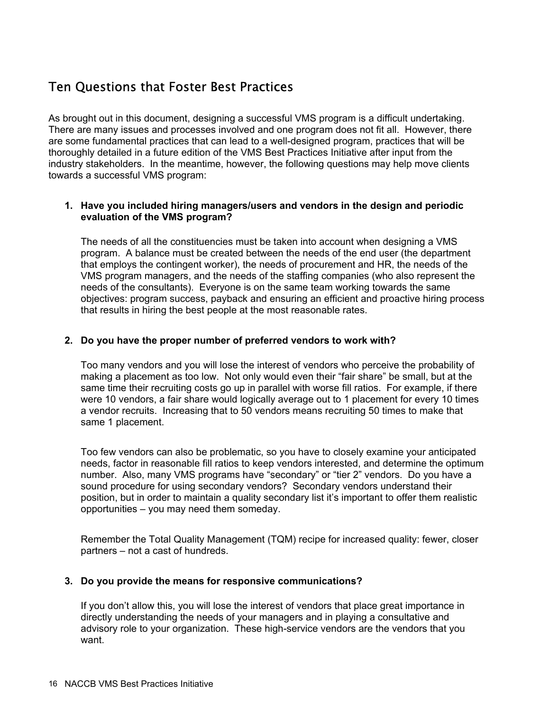## Ten Questions that Foster Best Practices

As brought out in this document, designing a successful VMS program is a difficult undertaking. There are many issues and processes involved and one program does not fit all. However, there are some fundamental practices that can lead to a well-designed program, practices that will be thoroughly detailed in a future edition of the VMS Best Practices Initiative after input from the industry stakeholders. In the meantime, however, the following questions may help move clients towards a successful VMS program:

#### **1. Have you included hiring managers/users and vendors in the design and periodic evaluation of the VMS program?**

The needs of all the constituencies must be taken into account when designing a VMS program. A balance must be created between the needs of the end user (the department that employs the contingent worker), the needs of procurement and HR, the needs of the VMS program managers, and the needs of the staffing companies (who also represent the needs of the consultants). Everyone is on the same team working towards the same objectives: program success, payback and ensuring an efficient and proactive hiring process that results in hiring the best people at the most reasonable rates.

#### **2. Do you have the proper number of preferred vendors to work with?**

Too many vendors and you will lose the interest of vendors who perceive the probability of making a placement as too low. Not only would even their "fair share" be small, but at the same time their recruiting costs go up in parallel with worse fill ratios. For example, if there were 10 vendors, a fair share would logically average out to 1 placement for every 10 times a vendor recruits. Increasing that to 50 vendors means recruiting 50 times to make that same 1 placement.

Too few vendors can also be problematic, so you have to closely examine your anticipated needs, factor in reasonable fill ratios to keep vendors interested, and determine the optimum number. Also, many VMS programs have "secondary" or "tier 2" vendors. Do you have a sound procedure for using secondary vendors? Secondary vendors understand their position, but in order to maintain a quality secondary list it's important to offer them realistic opportunities – you may need them someday.

Remember the Total Quality Management (TQM) recipe for increased quality: fewer, closer partners – not a cast of hundreds.

#### **3. Do you provide the means for responsive communications?**

If you don't allow this, you will lose the interest of vendors that place great importance in directly understanding the needs of your managers and in playing a consultative and advisory role to your organization. These high-service vendors are the vendors that you want.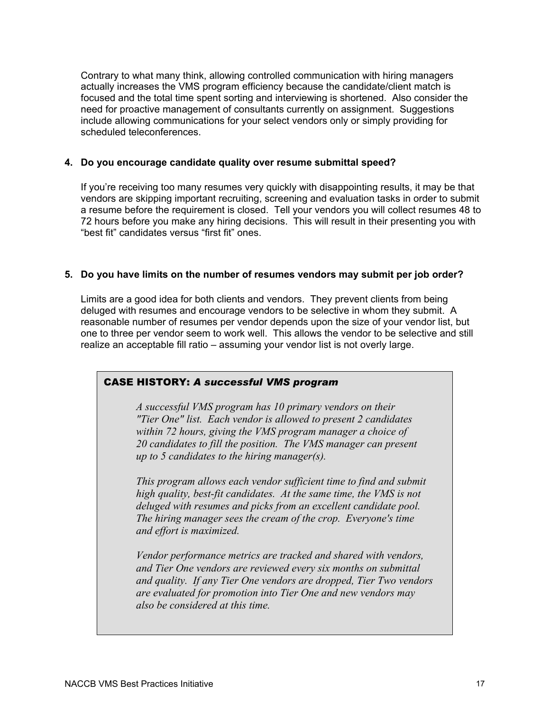Contrary to what many think, allowing controlled communication with hiring managers actually increases the VMS program efficiency because the candidate/client match is focused and the total time spent sorting and interviewing is shortened. Also consider the need for proactive management of consultants currently on assignment. Suggestions include allowing communications for your select vendors only or simply providing for scheduled teleconferences.

#### **4. Do you encourage candidate quality over resume submittal speed?**

If you're receiving too many resumes very quickly with disappointing results, it may be that vendors are skipping important recruiting, screening and evaluation tasks in order to submit a resume before the requirement is closed. Tell your vendors you will collect resumes 48 to 72 hours before you make any hiring decisions. This will result in their presenting you with "best fit" candidates versus "first fit" ones.

#### **5. Do you have limits on the number of resumes vendors may submit per job order?**

Limits are a good idea for both clients and vendors. They prevent clients from being deluged with resumes and encourage vendors to be selective in whom they submit. A reasonable number of resumes per vendor depends upon the size of your vendor list, but one to three per vendor seem to work well. This allows the vendor to be selective and still realize an acceptable fill ratio – assuming your vendor list is not overly large.

#### CASE HISTORY: *A successful VMS program*

*A successful VMS program has 10 primary vendors on their "Tier One" list. Each vendor is allowed to present 2 candidates within 72 hours, giving the VMS program manager a choice of 20 candidates to fill the position. The VMS manager can present up to 5 candidates to the hiring manager(s).* 

*This program allows each vendor sufficient time to find and submit high quality, best-fit candidates. At the same time, the VMS is not deluged with resumes and picks from an excellent candidate pool. The hiring manager sees the cream of the crop. Everyone's time and effort is maximized.* 

*Vendor performance metrics are tracked and shared with vendors, and Tier One vendors are reviewed every six months on submittal and quality. If any Tier One vendors are dropped, Tier Two vendors are evaluated for promotion into Tier One and new vendors may also be considered at this time.*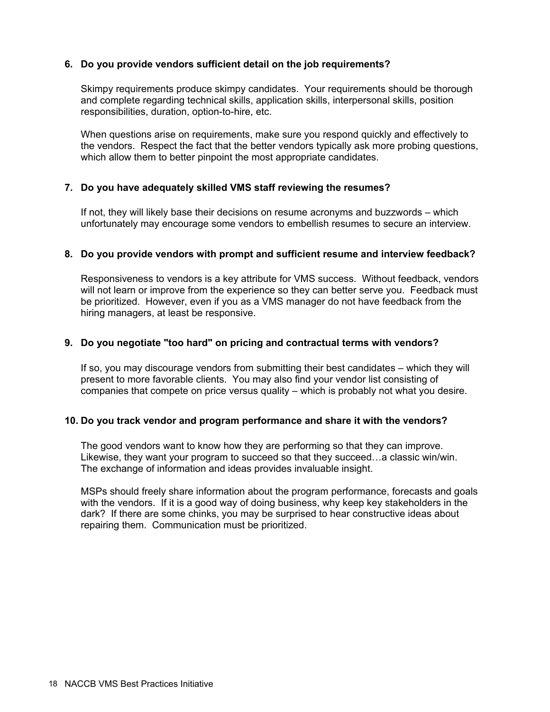#### **6. Do you provide vendors sufficient detail on the job requirements?**

Skimpy requirements produce skimpy candidates. Your requirements should be thorough and complete regarding technical skills, application skills, interpersonal skills, position responsibilities, duration, option-to-hire, etc.

When questions arise on requirements, make sure you respond quickly and effectively to the vendors. Respect the fact that the better vendors typically ask more probing questions, which allow them to better pinpoint the most appropriate candidates.

#### **7. Do you have adequately skilled VMS staff reviewing the resumes?**

If not, they will likely base their decisions on resume acronyms and buzzwords – which unfortunately may encourage some vendors to embellish resumes to secure an interview.

#### **8. Do you provide vendors with prompt and sufficient resume and interview feedback?**

Responsiveness to vendors is a key attribute for VMS success. Without feedback, vendors will not learn or improve from the experience so they can better serve you. Feedback must be prioritized. However, even if you as a VMS manager do not have feedback from the hiring managers, at least be responsive.

#### **9. Do you negotiate "too hard" on pricing and contractual terms with vendors?**

If so, you may discourage vendors from submitting their best candidates – which they will present to more favorable clients. You may also find your vendor list consisting of companies that compete on price versus quality – which is probably not what you desire.

#### **10. Do you track vendor and program performance and share it with the vendors?**

The good vendors want to know how they are performing so that they can improve. Likewise, they want your program to succeed so that they succeed…a classic win/win. The exchange of information and ideas provides invaluable insight.

MSPs should freely share information about the program performance, forecasts and goals with the vendors. If it is a good way of doing business, why keep key stakeholders in the dark? If there are some chinks, you may be surprised to hear constructive ideas about repairing them. Communication must be prioritized.